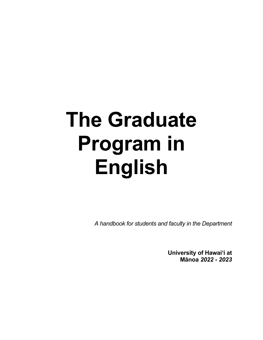# **The Graduate Program in English**

*A handbook for students and faculty in the Department*

**University of Hawai'i at Mānoa** *2022 - 2023*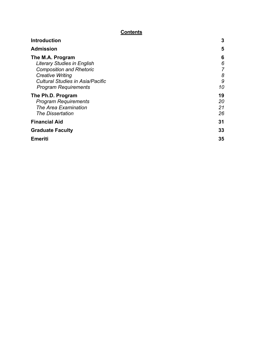# **Contents**

| <b>Introduction</b>                                                      | 3                   |
|--------------------------------------------------------------------------|---------------------|
| <b>Admission</b>                                                         | 5                   |
| The M.A. Program<br><b>Literary Studies in English</b>                   | 6<br>6              |
| <b>Composition and Rhetoric</b><br><b>Creative Writing</b>               | $\overline{7}$<br>8 |
| <b>Cultural Studies in Asia/Pacific</b><br><b>Program Requirements</b>   | 9<br>10             |
| The Ph.D. Program<br><b>Program Requirements</b><br>The Area Examination | 19<br>20<br>21      |
| <b>The Dissertation</b>                                                  | 26                  |
| <b>Financial Aid</b>                                                     | 31                  |
| <b>Graduate Faculty</b>                                                  | 33                  |
| <b>Emeriti</b>                                                           | 35                  |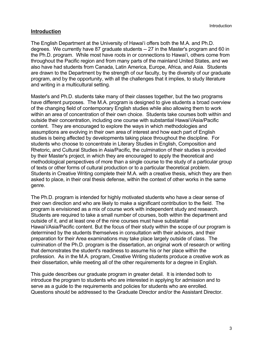## **Introduction**

The English Department at the University of Hawai'i offers both the M.A. and Ph.D. degrees. We currently have 87 graduate students -- 27 in the Master's program and 60 in the Ph.D. program. While most have roots in or connections to Hawai'i, others come from throughout the Pacific region and from many parts of the mainland United States, and we also have had students from Canada, Latin America, Europe, Africa, and Asia. Students are drawn to the Department by the strength of our faculty, by the diversity of our graduate program, and by the opportunity, with all the challenges that it implies, to study literature and writing in a multicultural setting.

Master's and Ph.D. students take many of their classes together, but the two programs have different purposes. The M.A. program is designed to give students a broad overview of the changing field of contemporary English studies while also allowing them to work within an area of concentration of their own choice. Students take courses both within and outside their concentration, including one course with substantial Hawai'i/Asia/Pacific content. They are encouraged to explore the ways in which methodologies and assumptions are evolving in their own area of interest and how each part of English studies is being affected by developments taking place throughout the discipline. For students who choose to concentrate in Literary Studies in English, Composition and Rhetoric, and Cultural Studies in Asia/Pacific, the culmination of their studies is provided by their Master's project, in which they are encouraged to apply the theoretical and methodological perspectives of more than a single course to the study of a particular group of texts or other forms of cultural production or to a particular theoretical problem. Students in Creative Writing complete their M.A. with a creative thesis, which they are then asked to place, in their oral thesis defense, within the context of other works in the same genre.

The Ph.D. program is intended for highly motivated students who have a clear sense of their own direction and who are likely to make a significant contribution to the field. The program is envisioned as a mix of course work with independent study and research. Students are required to take a small number of courses, both within the department and outside of it, and at least one of the nine courses must have substantial Hawai'i/Asia/Pacific content. But the focus of their study within the scope of our program is determined by the students themselves in consultation with their advisors, and their preparation for their Area examinations may take place largely outside of class. The culmination of the Ph.D. program is the dissertation, an original work of research or writing that demonstrates the student's readiness to assume his or her place within the profession. As in the M.A. program, Creative Writing students produce a creative work as their dissertation, while meeting all of the other requirements for a degree in English.

This guide describes our graduate program in greater detail. It is intended both to introduce the program to students who are interested in applying for admission and to serve as a guide to the requirements and policies for students who are enrolled. Questions should be addressed to the Graduate Director and/or the Assistant Director.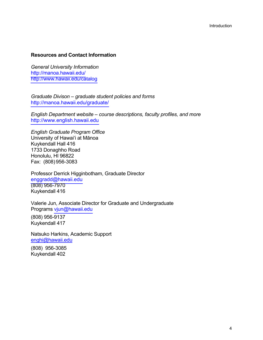#### **Resources and Contact Information**

*General University Information* http://manoa.hawaii.edu/ http://www.hawaii.edu/catalog

*Graduate Divison – graduate student policies and forms* http://manoa.hawaii.edu/graduate/

*English Department website – course descriptions, faculty profiles, and more* http://www.english.hawaii.edu

*English Graduate Program Office* University of Hawai'i at Mānoa Kuykendall Hall 416 1733 Donaghho Road Honolulu, HI 96822 Fax: (808) 956-3083

Professor Derrick Higginbotham, Graduate Director enggradd@hawaii.edu (808) 956-7970 Kuykendall 416

Valerie Jun, Associate Director for Graduate and Undergraduate Programs vjun@hawaii.edu

(808) 956-9137 Kuykendall 417

Natsuko Harkins, Academic Support enghi@hawaii.edu

(808) 956-3085 Kuykendall 402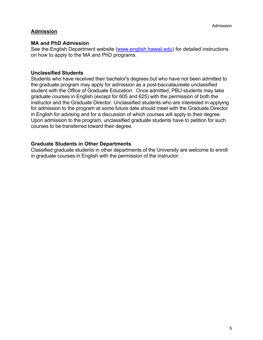# **Admission**

#### **MA and PhD Admission**

See the English Department website (www.english.hawaii.edu) for detailed instructions on how to apply to the MA and PhD programs.

#### **Unclassified Students**

Students who have received their bachelor's degrees but who have not been admitted to the graduate program may apply for admission as a post-baccalaureate unclassified student with the Office of Graduate Education. Once admitted, PBU students may take graduate courses in English (except for 605 and 625) with the permission of both the instructor and the Graduate Director. Unclassified students who are interested in applying for admission to the program at some future date should meet with the Graduate Director in English for advising and for a discussion of which courses will apply to their degree. Upon admission to the program, unclassified graduate students have to petition for such courses to be transferred toward their degree.

## **Graduate Students in Other Departments**

Classified graduate students in other departments of the University are welcome to enroll in graduate courses in English with the permission of the instructor.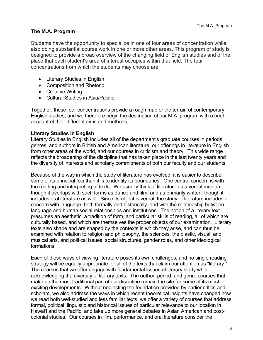## **The M.A. Program**

Students have the opportunity to specialize in one of four areas of concentration while also doing substantial course work in one or more other areas. This program of study is designed to provide a broad overview of the changing field of English studies and of the place that each student's area of interest occupies within that field. The four concentrations from which the students may choose are:

- Literary Studies in English
- Composition and Rhetoric
- Creative Writing
- Cultural Studies in Asia/Pacific

Together, these four concentrations provide a rough map of the terrain of contemporary English studies, and we therefore begin the description of our M.A. program with a brief account of their different aims and methods.

## **Literary Studies in English**

Literary Studies in English includes all of the department's graduate courses in periods, genres, and authors in British and American literature, our offerings in literature in English from other areas of the world, and our courses in criticism and theory. This wide range reflects the broadening of the discipline that has taken place in the last twenty years and the diversity of interests and scholarly commitments of both our faculty and our students.

Because of the way in which the study of literature has evolved, it is easier to describe some of its principal foci than it is to identify its boundaries. One central concern is with the reading and interpreting of texts. We usually think of literature as a verbal medium, though it overlaps with such forms as dance and film, and as primarily written, though it includes oral literature as well. Since its object is verbal, the study of literature includes a concern with language, both formally and historically, and with the relationship between language and human social relationships and institutions. The notion of a literary text presumes an aesthetic, a tradition of form, and particular skills of reading, all of which are culturally based, and which are themselves the proper objects of our examination. Literary texts also shape and are shaped by the contexts in which they arise, and can thus be examined with relation to religion and philosophy, the sciences, the plastic, visual, and musical arts, and political issues, social structures, gender roles, and other ideological formations.

Each of these ways of viewing literature poses its own challenges, and no single reading strategy will be equally appropriate for all of the texts that claim our attention as "literary." The courses that we offer engage with fundamental issues of literary study while acknowledging the diversity of literary texts. The author, period, and genre courses that make up the most traditional part of our discipline remain the site for some of its most exciting developments. Without neglecting the foundation provided by earlier critics and scholars, we also address the ways in which recent theoretical insights have changed how we read both well-studied and less familiar texts; we offer a variety of courses that address formal, political, linguistic and historical issues of particular relevance to our location in Hawai'i and the Pacific; and take up more general debates in Asian American and postcolonial studies. Our courses in film, performance, and oral literature consider the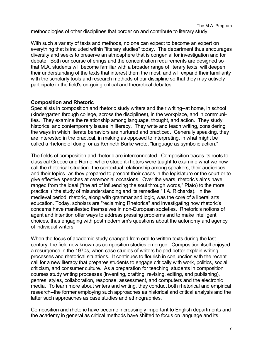methodologies of other disciplines that border on and contribute to literary study.

With such a variety of texts and methods, no one can expect to become an expert on everything that is included within "literary studies" today. The department thus encourages diversity and seeks to preserve an atmosphere that is congenial for investigation and for debate. Both our course offerings and the concentration requirements are designed so that M.A. students will become familiar with a broader range of literary texts, will deepen their understanding of the texts that interest them the most, and will expand their familiarity with the scholarly tools and research methods of our discipline so that they may actively participate in the field's on-going critical and theoretical debates.

#### **Composition and Rhetoric**

Specialists in composition and rhetoric study writers and their writing--at home, in school (kindergarten through college, across the disciplines), in the workplace, and in communities. They examine the relationship among language, thought, and action. They study historical and contemporary issues in literacy. They write and teach writing, considering the ways in which literate behaviors are nurtured and practiced. Generally speaking, they are interested in the practical, in making as opposed to interpreting, in what might be called a rhetoric of doing, or as Kenneth Burke wrote, "language as symbolic action."

The fields of composition and rhetoric are interconnected. Composition traces its roots to classical Greece and Rome, where student-rhetors were taught to examine what we now call the rhetorical situation--the contextual relationship among speakers, their audiences, and their topics--as they prepared to present their cases in the legislature or the court or to give effective speeches at ceremonial occasions. Over the years, rhetoric's aims have ranged from the ideal ("the art of influencing the soul through words," Plato) to the more practical ("the study of misunderstanding and its remedies," I.A. Richards). In the medieval period, rhetoric, along with grammar and logic, was the core of a liberal arts education. Today, scholars are "reclaiming Rhetorica" and investigating how rhetoric's concerns have manifested themselves in non-European societies. Rhetoric's notions of agent and intention offer ways to address pressing problems and to make intelligent choices, thus engaging with postmodernism's questions about the autonomy and agency of individual writers.

When the focus of academic study changed from oral to written texts during the last century, the field now known as composition studies emerged. Composition itself enjoyed a resurgence in the 1970s, when case studies of writers helped better explain writing processes and rhetorical situations. It continues to flourish in conjunction with the recent call for a new literacy that prepares students to engage critically with work, politics, social criticism, and consumer culture. As a preparation for teaching, students in composition courses study writing processes (inventing, drafting, revising, editing, and publishing), genres, styles, collaboration, response, assessment, and computers and the electronic media. To learn more about writers and writing, they conduct both rhetorical and empirical research--the former employing such approaches as historical and critical analysis and the latter such approaches as case studies and ethnographies.

Composition and rhetoric have become increasingly important to English departments and the academy in general as critical methods have shifted to focus on language and its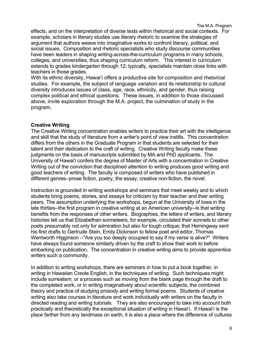effects, and on the interpretation of diverse texts within rhetorical and social contexts. For example, scholars in literary studies use literary rhetoric to examine the strategies of argument that authors weave into imaginative works to confront literary, political, and social issues. Composition and rhetoric specialists who study discourse communities have been leaders in shaping writing-across-the-curriculum programs in many schools, colleges, and universities, thus shaping curriculum reform. This interest in curriculum extends to grades kindergarten through 12; typically, specialists maintain close links with teachers in those grades.

With its ethnic diversity, Hawai'i offers a productive site for composition and rhetorical studies. For example, the subject of language variation and its relationship to cultural diversity introduces issues of class, age, race, ethnicity, and gender, thus raising complex political and ethical questions. These issues, in addition to those discussed above, invite exploration through the M.A. project, the culmination of study in the program.

#### **Creative Writing**

The Creative Writing concentration enables writers to practice their art with the intelligence and skill that the study of literature from a writer's point of view instills. This concentration differs from the others in the Graduate Program in that students are selected for their talent and their dedication to the craft of writing. Creative Writing faculty make these judgments on the basis of manuscripts submitted by MA and PhD applicants. The University of Hawai'i confers the degree of Master of Arts with a concentration in Creative Writing out of the conviction that disciplined attention to writing produces good writing and good teachers of writing. The faculty is composed of writers who have published in different genres--prose fiction, poetry, the essay, creative non-fiction, the novel.

Instruction is grounded in writing workshops and seminars that meet weekly and to which students bring poems, stories, and essays for criticism by their teacher and their writing peers. The assumption underlying the workshops, begun at the University of Iowa in the late thirties--the first program in creative writing at an American university--is that writing benefits from the responses of other writers. Biographies, the letters of writers, and literary histories tell us that Elizabethan sonneteers, for example, circulated their sonnets to other poets presumably not only for admiration but also for tough critique; that Hemingway sent his first drafts to Gertrude Stein, Emily Dickinson to fellow poet and editor, Thomas Wentworth Higginson --"Are you too deeply occupied to say if my verse is alive?" Writers have always found someone similarly driven by the craft to show their work to before embarking on publication. The concentration in creative writing aims to provide apprentice writers such a community.

In addition to writing workshops, there are seminars in how to put a book together, in writing in Hawaiian Creole English, in the techniques of writing. Such techniques might include surrealism, or a process such as moving from the blank page through the draft to the completed work, or in writing imaginatively about scientific subjects, the combined theory and practice of studying prosody and writing formal poems. Students of creative writing also take courses in literature and work individually with writers on the faculty in directed reading and writing tutorials. They are also encouraged to take into account both practically and theoretically the exceptional situation of writing in Hawai'i. If Hawai'i is the place farther from any landmass on earth, it is also a place where the difference of cultures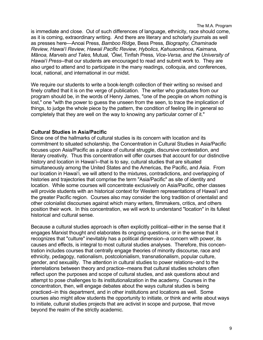The M.A. Program

is immediate and close. Out of such differences of language, ethnicity, race should come, as it is coming, extraordinary writing. And there are literary and scholarly journals as well as presses here—Anoai Press, *Bamboo Ridge,* Bess Press*, Biography, Chaminade Review, Hawai'i Review, Hawaii Pacific Review, Hybolics, Kahuaomānoa, Kaimana, Mānoa, Marvels and Tales,* Mutual*, 'Ōiwi,* Tinfish Press*, Vice-Versa, and the University of Hawai'i Press*--that our students are encouraged to read and submit work to. They are also urged to attend and to participate in the many readings, colloquia, and conferences, local, national, and international in our midst.

We require our students to write a book-length collection of their writing so revised and finely crafted that it is on the verge of publication. The writer who graduates from our program should be, in the words of Henry James, "one of the people on whom nothing is lost," one "with the power to guess the unseen from the seen, to trace the implication of things, to judge the whole piece by the pattern, the condition of feeling life in general so completely that they are well on the way to knowing any particular corner of it."

#### **Cultural Studies in Asia/Pacific**

Since one of the hallmarks of cultural studies is its concern with location and its commitment to situated scholarship, the Concentration in Cultural Studies in Asia/Pacific focuses upon Asia/Pacific as a place of cultural struggle, discursive contestation, and literary creativity. Thus this concentration will offer courses that account for our distinctive history and location in Hawai'i--that is to say, cultural studies that are situated simultaneously among the United States and the Americas, the Pacific, and Asia. From our location in Hawai'i, we will attend to the mixtures, contradictions, and overlapping of histories and trajectories that comprise the term "Asia/Pacific" as site of identity and location. While some courses will concentrate exclusively on Asia/Pacific, other classes will provide students with an historical context for Western representations of Hawai'i and the greater Pacific region. Courses also may consider the long tradition of orientalist and other colonialist discourses against which many writers, filmmakers, critics, and others position their work. In this concentration, we will work to understand "location" in its fullest historical and cultural sense.

Because a cultural studies approach is often explicitly political--either in the sense that it engages Marxist thought and elaborates its ongoing questions, or in the sense that it recognizes that "culture" inevitably has a political dimension--a concern with power, its causes and effects, is integral to most cultural studies analyses. Therefore, this concentration includes courses that centrally engage theories of minority discourse, race and ethnicity, pedagogy, nationalism, postcolonialism, transnationalism, popular culture, gender, and sexuality. The attention in cultural studies to power relations--and to the interrelations between theory and practice--means that cultural studies scholars often reflect upon the purposes and scope of cultural studies, and ask questions about and attempt to pose challenges to its institutionalization in the academy. Courses in the concentration, then, will engage debates about the ways cultural studies is being practiced--in this department, and in other institutions and locations as well. Some courses also might allow students the opportunity to initiate, or think and write about ways to initiate, cultural studies projects that are activist in scope and purpose, that move beyond the realm of the strictly academic.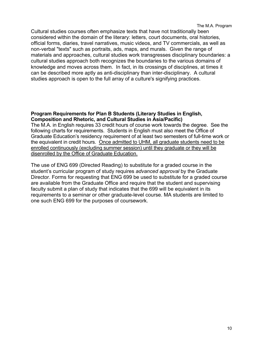Cultural studies courses often emphasize texts that have not traditionally been considered within the domain of the literary: letters, court documents, oral histories, official forms, diaries, travel narratives, music videos, and TV commercials, as well as non-verbal "texts" such as portraits, ads, maps, and murals. Given the range of materials and approaches, cultural studies work transgresses disciplinary boundaries: a cultural studies approach both recognizes the boundaries to the various domains of knowledge and moves across them. In fact, in its crossings of disciplines, at times it can be described more aptly as anti-disciplinary than inter-disciplinary. A cultural studies approach is open to the full array of a culture's signifying practices.

#### **Program Requirements for Plan B Students (Literary Studies in English, Composition and Rhetoric, and Cultural Studies in Asia/Pacific)**

The M.A. in English requires 33 credit hours of course work towards the degree. See the following charts for requirements. Students in English must also meet the Office of Graduate Education's residency requirement of at least two semesters of full-time work or the equivalent in credit hours. Once admitted to UHM, all graduate students need to be enrolled continuously (excluding summer session) until they graduate or they will be disenrolled by the Office of Graduate Education.

The use of ENG 699 (Directed Reading) to substitute for a graded course in the student's curricular program of study requires *advanced approval* by the Graduate Director. Forms for requesting that ENG 699 be used to substitute for a graded course are available from the Graduate Office and require that the student and supervising faculty submit a plan of study that indicates that the 699 will be equivalent in its requirements to a seminar or other graduate-level course. MA students are limited to one such ENG 699 for the purposes of coursework.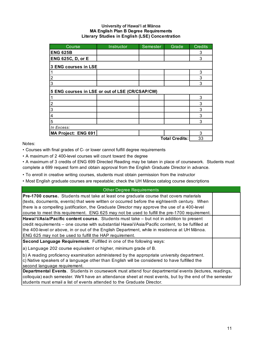#### **University of Hawai'i at Mānoa MA English Plan B Degree Requirements Literary Studies in English (LSE) Concentration**

| Course                                          | Instructor | Semester | Grade                 | <b>Credits</b> |
|-------------------------------------------------|------------|----------|-----------------------|----------------|
| <b>ENG 625B</b>                                 |            |          |                       | 3              |
| ENG 625C, D, or E                               |            |          |                       | 3              |
| 3 ENG courses in LSE                            |            |          |                       |                |
|                                                 |            |          |                       | 3              |
| $\frac{2}{3}$                                   |            |          |                       | 3              |
|                                                 |            |          |                       | 3              |
| 5 ENG courses in LSE or out of LSE (CR/CSAP/CW) |            |          |                       |                |
| 1                                               |            |          |                       | 3              |
| $\overline{c}$                                  |            |          |                       | 3              |
| $\overline{3}$                                  |            |          |                       | 3              |
| $\vert$ 4                                       |            |          |                       | 3              |
| $\overline{5}$                                  |            |          |                       | 3              |
| In Excess:                                      |            |          |                       |                |
| MA Project: ENG 691                             |            |          |                       | 3              |
|                                                 |            |          | <b>Total Credits:</b> | 33             |

Notes:

• Courses with final grades of C- or lower cannot fulfill degree requirements

• A maximum of 2 400-level courses will count toward the degree

• A maximum of 3 credits of ENG 699 Directed Reading may be taken in place of coursework. Students must complete a 699 request form and obtain approval from the English Graduate Director in advance.

• To enroll in creative writing courses, students must obtain permission from the instructor

• Most English graduate courses are repeatable; check the UH Mānoa catalog course descriptions

#### c) Native speakers of a language other than English will be considered to have fulfilled the second language requirement. Other Degree Requirements **Pre-1700 course.** Students must take at least one graduate course that covers materials (texts, documents, events) that were written or occurred before the eighteenth century. When there is a compelling justification, the Graduate Director may approve the use of a 400-level course to meet this requirement. ENG 625 may not be used to fulfill the pre-1700 requirement. **Hawai'i/Asia/Pacific content course.** Students must take – but not in addition to present credit requirements – one course with substantial Hawai'i/Asia/Pacific content, to be fulfilled at the 400-level or above, in or out of the English Department, while in residence at UH Mānoa. ENG 625 may not be used to fulfill the HAP requirement. **Second Language Requirement.** Fulfilled in one of the following ways: a) Language 202 course equivalent or higher, minimum grade of B. b) A reading proficiency examination administered by the appropriate university department.

**Departmental Events**. Students in coursework must attend four departmental events (lectures, readings, colloquia) each semester. We'll have an attendance sheet at most events, but by the end of the semester students must email a list of events attended to the Graduate Director.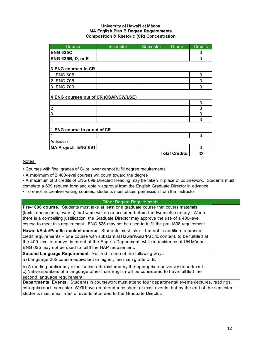#### **University of Hawai'i at Mānoa MA English Plan B Degree Requirements Composition & Rhetoric (CR) Concentration**

| Course                                | Instructor | Semester | Grade                 | <b>Credits</b> |
|---------------------------------------|------------|----------|-----------------------|----------------|
| <b>ENG 625C</b>                       |            |          |                       | 3              |
| <b>ENG 625B, D, or E</b>              |            |          |                       | 3              |
|                                       |            |          |                       |                |
| 3 ENG courses in CR                   |            |          |                       |                |
| $\blacksquare$<br><b>ENG 605</b>      |            |          |                       | 3              |
| $\overline{2}$<br><b>ENG 705</b>      |            |          |                       | 3              |
| 3 ENG 709                             |            |          |                       | 3              |
|                                       |            |          |                       |                |
| 4 ENG courses out of CR (CSAP/CW/LSE) |            |          |                       |                |
| $\mathbf{1}$                          |            |          |                       | 3              |
| ا دہ ا                                |            |          |                       | 3              |
|                                       |            |          |                       | 3              |
| $\overline{4}$                        |            |          |                       | 3              |
|                                       |            |          |                       |                |
| 1 ENG course in or out of CR          |            |          |                       |                |
| 1                                     |            |          |                       | 3              |
| In Excess:                            |            |          |                       |                |
| MA Project: ENG 691                   |            |          |                       | 3              |
|                                       |            |          | <b>Total Credits:</b> | 33             |

Notes:

• Courses with final grades of C- or lower cannot fulfill degree requirements

• A maximum of 2 400-level courses will count toward the degree

• A maximum of 3 credits of ENG 699 Directed Reading may be taken in place of coursework. Students must complete a 699 request form and obtain approval from the English Graduate Director in advance.

• To enroll in creative writing courses, students must obtain permission from the instructor

| <b>Other Degree Requirements</b>                                                                                                                                                                |  |
|-------------------------------------------------------------------------------------------------------------------------------------------------------------------------------------------------|--|
| <b>Pre-1898 course.</b> Students must take at least one graduate course that covers materials                                                                                                   |  |
| (texts, documents, events) that were written or occurred before the twentieth century. When                                                                                                     |  |
| there is a compelling justification, the Graduate Director may approve the use of a 400-level                                                                                                   |  |
| course to meet this requirement. ENG 625 may not be used to fulfill the pre-1898 requirement.                                                                                                   |  |
| Hawai'i/Asia/Pacific content course. Students must take - but not in addition to present                                                                                                        |  |
| credit requirements – one course with substantial Hawai'i/Asia/Pacific content, to be fulfilled at                                                                                              |  |
| the 400-level or above, in or out of the English Department, while in residence at UH Mānoa.                                                                                                    |  |
| ENG 625 may not be used to fulfill the HAP requirement.                                                                                                                                         |  |
| Second Language Requirement. Fulfilled in one of the following ways:                                                                                                                            |  |
| a) Language 202 course equivalent or higher, minimum grade of B.                                                                                                                                |  |
| (b) A reading proficiency examination administered by the appropriate university department.<br>$ c $ Native speakers of a language other than English will be considered to have fulfilled the |  |
| second language requirement.                                                                                                                                                                    |  |
| Departmental Events. Students in coursework must attend four departmental events (lectures, readings,                                                                                           |  |
| colloquia) each semester. We'll have an attendance sheet at most events, but by the end of the semester                                                                                         |  |
| students must email a list of events attended to the Graduate Director.                                                                                                                         |  |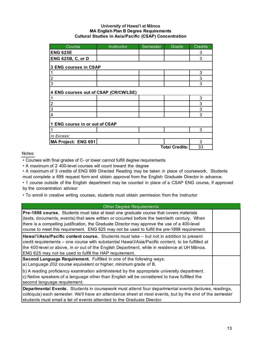#### **University of Hawai'i at Mānoa MA English Plan B Degree Requirements Cultural Studies in Asia/Pacific (CSAP) Concentration**

| Course                                | Instructor | Semester | Grade                 | <b>Credits</b> |
|---------------------------------------|------------|----------|-----------------------|----------------|
| <b>ENG 625E</b>                       |            |          |                       | 3              |
| <b>ENG 625B, C, or D</b>              |            |          |                       | 3              |
| 3 ENG courses in CSAP                 |            |          |                       |                |
| 1                                     |            |          |                       | 3              |
| $\overline{c}$                        |            |          |                       | 3              |
| $\overline{3}$                        |            |          |                       | 3              |
| 4 ENG courses out of CSAP (CR/CW/LSE) |            |          |                       |                |
| 1                                     |            |          |                       | 3              |
| ا C                                   |            |          |                       | 3              |
| က                                     |            |          |                       | 3              |
| $\overline{4}$                        |            |          |                       | 3              |
| 1 ENG course in or out of CSAP        |            |          |                       |                |
| 1                                     |            |          |                       | 3              |
| In Excess:                            |            |          |                       |                |
| MA Project: ENG 691                   |            |          |                       | 3              |
|                                       |            |          | <b>Total Credits:</b> | 33             |

Notes:

• Courses with final grades of C- or lower cannot fulfill degree requirements

• A maximum of 2 400-level courses will count toward the degree

• A maximum of 3 credits of ENG 699 Directed Reading may be taken in place of coursework. Students must complete a 699 request form and obtain approval from the English Graduate Director in advance.

• 1 course outside of the English department may be counted in place of a CSAP ENG course, if approved by the concentration advisor

• To enroll in creative writing courses, students must obtain permission from the instructor

#### **Departmental Events.** Students in coursework must attend four departmental events (lectures, readings, colloquia) each semester. We'll have an attendance sheet at most events, but by the end of the semester students must email a list of events attended to the Graduate Director. Other Degree Requirements **Pre-1898 course.** Students must take at least one graduate course that covers materials (texts, documents, events) that were written or occurred before the twentieth century. When there is a compelling justification, the Graduate Director may approve the use of a 400-level course to meet this requirement. ENG 625 may not be used to fulfill the pre-1898 requirement. **Hawai'i/Asia/Pacific content course.** Students must take – but not in addition to present credit requirements – one course with substantial Hawai'i/Asia/Pacific content, to be fulfilled at the 400-level or above, in or out of the English Department, while in residence at UH Mānoa. ENG 625 may not be used to fulfill the HAP requirement. **Second Language Requirement.** Fulfilled in one of the following ways: a) Language 202 course equivalent or higher, minimum grade of B. b) A reading proficiency examination administered by the appropriate university department. c) Native speakers of a language other than English will be considered to have fulfilled the second language requirement.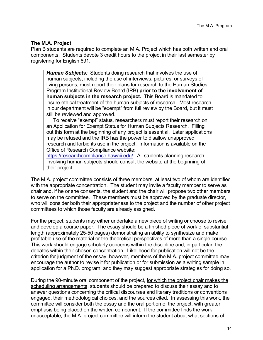#### **The M.A. Project**

Plan B students are required to complete an M.A. Project which has both written and oral components. Students devote 3 credit hours to the project in their last semester by registering for English 691.

*Human Subjects:* Students doing research that involves the use of human subjects, including the use of interviews, pictures, or surveys of living persons, must report their plans for research to the Human Studies Program Institutional Review Board (IRB) **prior to the involvement of human subjects in the research project.** This Board is mandated to insure ethical treatment of the human subjects of research. Most research in our department will be "exempt" from full review by the Board, but it must still be reviewed and approved.

 To receive "exempt" status, researchers must report their research on an Application for Exempt Status for Human Subjects Research. Filling out this form at the beginning of any project is essential. Later applications may be refused and the IRB has the power to disallow unapproved research and forbid its use in the project. Information is available on the Office of Research Compliance website:

https://researchcompliance.hawaii.edu/. All students planning research involving human subjects should consult the website at the beginning of their project.

The M.A. project committee consists of three members, at least two of whom are identified with the appropriate concentration. The student may invite a faculty member to serve as chair and, if he or she consents, the student and the chair will propose two other members to serve on the committee. These members must be approved by the graduate director, who will consider both their appropriateness to the project and the number of other project committees to which those faculty are already assigned.

For the project, students may either undertake a new piece of writing or choose to revise and develop a course paper. The essay should be a finished piece of work of substantial length (approximately 25-50 pages) demonstrating an ability to synthesize and make profitable use of the material or the theoretical perspectives of more than a single course. This work should engage scholarly concerns within the discipline and, in particular, the debates within their chosen concentration. Likelihood for publication will not be the criterion for judgment of the essay; however, members of the M.A. project committee may encourage the author to revise it for publication or for submission as a writing sample in application for a Ph.D. program, and they may suggest appropriate strategies for doing so.

During the 90-minute oral component of the project, for which the project chair makes the scheduling arrangements, students should be prepared to discuss their essay and to answer questions concerning the critical discourses and literary traditions or conventions engaged, their methodological choices, and the sources cited. In assessing this work, the committee will consider both the essay and the oral portion of the project, with greater emphasis being placed on the written component. If the committee finds the work unacceptable, the M.A. project committee will inform the student about what sections of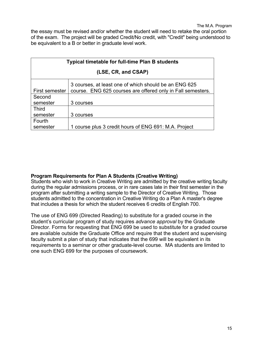the essay must be revised and/or whether the student will need to retake the oral portion of the exam. The project will be graded Credit/No credit, with "Credit" being understood to be equivalent to a B or better in graduate level work.

| <b>Typical timetable for full-time Plan B students</b>                                                                                 |                                                       |  |  |
|----------------------------------------------------------------------------------------------------------------------------------------|-------------------------------------------------------|--|--|
|                                                                                                                                        | (LSE, CR, and CSAP)                                   |  |  |
| 3 courses, at least one of which should be an ENG 625<br>course. ENG 625 courses are offered only in Fall semesters.<br>First semester |                                                       |  |  |
| Second                                                                                                                                 |                                                       |  |  |
| semester                                                                                                                               | 3 courses                                             |  |  |
| <b>Third</b>                                                                                                                           |                                                       |  |  |
| semester                                                                                                                               | 3 courses                                             |  |  |
| Fourth                                                                                                                                 |                                                       |  |  |
| semester                                                                                                                               | 1 course plus 3 credit hours of ENG 691: M.A. Project |  |  |

#### **Program Requirements for Plan A Students (Creative Writing)**

Students who wish to work in Creative Writing are admitted by the creative writing faculty during the regular admissions process, or in rare cases late in their first semester in the program after submitting a writing sample to the Director of Creative Writing. Those students admitted to the concentration in Creative Writing do a Plan A master's degree that includes a thesis for which the student receives 6 credits of English 700.

The use of ENG 699 (Directed Reading) to substitute for a graded course in the student's curricular program of study requires *advance approval* by the Graduate Director. Forms for requesting that ENG 699 be used to substitute for a graded course are available outside the Graduate Office and require that the student and supervising faculty submit a plan of study that indicates that the 699 will be equivalent in its requirements to a seminar or other graduate-level course. MA students are limited to one such ENG 699 for the purposes of coursework.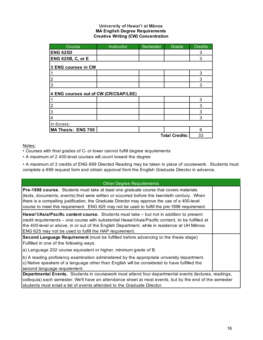#### **University of Hawai'i at Mānoa MA English Degree Requirements Creative Writing (CW) Concentration**

| Course                                | Instructor | Semester | Grade                 | <b>Credits</b> |
|---------------------------------------|------------|----------|-----------------------|----------------|
| <b>ENG 625D</b>                       |            |          |                       | 3              |
| <b>ENG 625B, C, or E</b>              |            |          |                       | 3              |
| 3 ENG courses in CW                   |            |          |                       |                |
|                                       |            |          |                       | 3              |
| $\overline{c}$                        |            |          |                       | 3              |
| 3                                     |            |          |                       | 3              |
| 4 ENG courses out of CW (CR/CSAP/LSE) |            |          |                       |                |
|                                       |            |          |                       | 3              |
| $\overline{c}$                        |            |          |                       | 3              |
| 3                                     |            |          |                       | 3              |
| 4                                     |            |          |                       | 3              |
| In Excess:                            |            |          |                       |                |
| MA Thesis: ENG 700                    |            |          |                       | 6              |
|                                       |            |          | <b>Total Credits:</b> | 33             |

#### Notes:

• Courses with final grades of C- or lower cannot fulfill degree requirements

• A maximum of 2 400-level courses will count toward the degree

• A maximum of 3 credits of ENG 699 Directed Reading may be taken in place of coursework. Students must complete a 699 request form and obtain approval from the English Graduate Director in advance.

| <b>Other Degree Requirements</b>                                                                                                                                                                                                                                                                                                                                                        |  |
|-----------------------------------------------------------------------------------------------------------------------------------------------------------------------------------------------------------------------------------------------------------------------------------------------------------------------------------------------------------------------------------------|--|
| Pre-1898 course. Students must take at least one graduate course that covers materials<br>(texts, documents, events) that were written or occurred before the twentieth century. When<br>there is a compelling justification, the Graduate Director may approve the use of a 400-level<br>course to meet this requirement. ENG 625 may not be used to fulfill the pre-1898 requirement. |  |
| Hawai'i/Asia/Pacific content course. Students must take – but not in addition to present<br>credit requirements – one course with substantial Hawai'i/Asia/Pacific content, to be fulfilled at<br>the 400-level or above, in or out of the English Department, while in residence at UH Mānoa.<br>ENG 625 may not be used to fulfill the HAP requirement.                               |  |
| Second Language Requirement (must be fulfilled before advancing to the thesis stage)<br>Fulfilled in one of the following ways:                                                                                                                                                                                                                                                         |  |
| a) Language 202 course equivalent or higher, minimum grade of B.                                                                                                                                                                                                                                                                                                                        |  |
| b) A reading proficiency examination administered by the appropriate university department.<br>c) Native speakers of a language other than English will be considered to have fulfilled the<br>second language requirement.                                                                                                                                                             |  |
| Departmental Events. Students in coursework must attend four departmental events (lectures, readings,                                                                                                                                                                                                                                                                                   |  |
| colloquia) each semester. We'll have an attendance sheet at most events, but by the end of the semester                                                                                                                                                                                                                                                                                 |  |
| students must email a list of events attended to the Graduate Director.                                                                                                                                                                                                                                                                                                                 |  |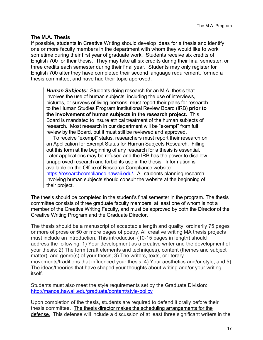#### **The M.A. Thesis**

If possible, students in Creative Writing should develop ideas for a thesis and identify one or more faculty members in the department with whom they would like to work sometime during their first year of graduate work. Students receive six credits of English 700 for their thesis. They may take all six credits during their final semester, or three credits each semester during their final year. Students may only register for English 700 after they have completed their second language requirement, formed a thesis committee, and have had their topic approved.

*Human Subjects:* Students doing research for an M.A. thesis that involves the use of human subjects, including the use of interviews, pictures, or surveys of living persons, must report their plans for research to the Human Studies Program Institutional Review Board (IRB) **prior to the involvement of human subjects in the research project.** This Board is mandated to insure ethical treatment of the human subjects of research. Most research in our department will be "exempt" from full review by the Board, but it must still be reviewed and approved.

 To receive "exempt" status, researchers must report their research on an Application for Exempt Status for Human Subjects Research. Filling out this form at the beginning of any research for a thesis is essential. Later applications may be refused and the IRB has the power to disallow unapproved research and forbid its use in the thesis. Information is available on the Office of Research Compliance website: https://researchcompliance.hawaii.edu/. All students planning research involving human subjects should consult the website at the beginning of their project.

The thesis should be completed in the student's final semester in the program. The thesis committee consists of three graduate faculty members, at least one of whom is not a member of the Creative Writing Faculty, and must be approved by both the Director of the Creative Writing Program and the Graduate Director.

The thesis should be a manuscript of acceptable length and quality, ordinarily 75 pages or more of prose or 50 or more pages of poetry. All creative writing MA thesis projects must include an introduction. This introduction (10-15 pages in length) should address the following: 1) Your development as a creative writer and the development of your thesis; 2) The form (craft elements and techniques), content (themes and subject matter), and genre(s) of your thesis; 3) The writers, texts, or literary movements/traditions that influenced your thesis; 4) Your aesthetics and/or style; and 5) The ideas/theories that have shaped your thoughts about writing and/or your writing itself.

Students must also meet the style requirements set by the Graduate Division: http://manoa.hawaii.edu/graduate/content/style-policy

Upon completion of the thesis, students are required to defend it orally before their thesis committee. The thesis director makes the scheduling arrangements for the defense. This defense will include a discussion of at least three significant writers in the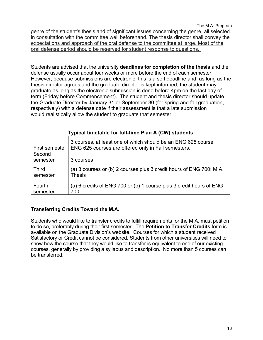The M.A. Program genre of the student's thesis and of significant issues concerning the genre, all selected in consultation with the committee well beforehand. The thesis director shall convey the expectations and approach of the oral defense to the committee at large. Most of the oral defense period should be reserved for student response to questions.

Students are advised that the university **deadlines for completion of the thesis** and the defense usually occur about four weeks or more before the end of each semester. However, because submissions are electronic, this is a soft deadline and, as long as the thesis director agrees and the graduate director is kept informed, the student may graduate as long as the electronic submission is done before 4pm on the last day of term (Friday before Commencement). The student and thesis director should update the Graduate Director by January 31 or September 30 (for spring and fall graduation, respectively) with a defense date if their assessment is that a late submission would realistically allow the student to graduate that semester.

|                          | Typical timetable for full-time Plan A (CW) students                                                                 |  |  |
|--------------------------|----------------------------------------------------------------------------------------------------------------------|--|--|
| First semester           | 3 courses, at least one of which should be an ENG 625 course.<br>ENG 625 courses are offered only in Fall semesters. |  |  |
| Second<br>semester       | 3 courses                                                                                                            |  |  |
| <b>Third</b><br>semester | (a) 3 courses or (b) 2 courses plus 3 credit hours of ENG 700: M.A.<br><b>Thesis</b>                                 |  |  |
| Fourth<br>semester       | (a) 6 credits of ENG 700 or (b) 1 course plus 3 credit hours of ENG<br>700                                           |  |  |

## **Transferring Credits Toward the M.A.**

Students who would like to transfer credits to fulfill requirements for the M.A. must petition to do so, preferably during their first semester. The **Petition to Transfer Credits** form is available on the Graduate Division's website. Courses for which a student received Satisfactory or Credit cannot be considered. Students from other universities will need to show how the course that they would like to transfer is equivalent to one of our existing courses, generally by providing a syllabus and description. No more than 5 courses can be transferred.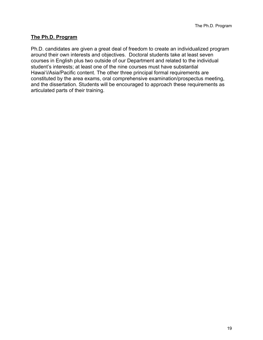## **The Ph.D. Program**

Ph.D. candidates are given a great deal of freedom to create an individualized program around their own interests and objectives. Doctoral students take at least seven courses in English plus two outside of our Department and related to the individual student's interests; at least one of the nine courses must have substantial Hawai'i/Asia/Pacific content. The other three principal formal requirements are constituted by the area exams, oral comprehensive examination/prospectus meeting, and the dissertation. Students will be encouraged to approach these requirements as articulated parts of their training.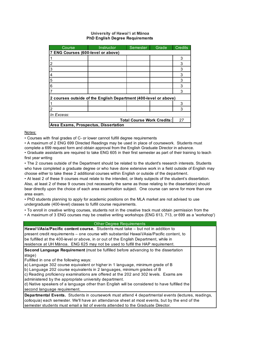#### **University of Hawai'i at Mānoa PhD English Degree Requirements**

| Course                               | Instructor                                                       | Semester                          | Grade | <b>Credits</b> |
|--------------------------------------|------------------------------------------------------------------|-----------------------------------|-------|----------------|
| 7 ENG Courses (600-level or above)   |                                                                  |                                   |       |                |
|                                      |                                                                  |                                   |       | 3              |
|                                      |                                                                  |                                   |       | 3              |
| 3                                    |                                                                  |                                   |       | 3              |
| 4                                    |                                                                  |                                   |       | 3              |
| 5                                    |                                                                  |                                   |       | 3              |
| 6                                    |                                                                  |                                   |       | 3              |
|                                      |                                                                  |                                   |       | 3              |
|                                      | 2 courses outside of the English Department (400-level or above) |                                   |       |                |
|                                      |                                                                  |                                   |       | 3              |
|                                      |                                                                  |                                   |       | 3              |
| In Excess:                           |                                                                  |                                   |       |                |
|                                      |                                                                  | <b>Total Course Work Credits:</b> |       | 27             |
| Area Exams, Prospectus, Dissertation |                                                                  |                                   |       |                |

#### Notes:

• Courses with final grades of C- or lower cannot fulfill degree requirements

• A maximum of 2 ENG 699 Directed Readings may be used in place of coursework. Students must complete a 699 request form and obtain approval from the English Graduate Director in advance.

• Graduate assistants are required to take ENG 605 in their first semester as part of their training to teach first year writing

• The 2 courses outside of the Department should be related to the student's research interests. Students who have completed a graduate degree or who have done extensive work in a field outside of English may choose either to take these 2 additional courses within English or outside of the department.

• At least 2 of these 9 courses must relate to the intended, or likely subjects of the student's dissertation. Also, at least 2 of these 9 courses (not necessarily the same as those relating to the dissertation) should bear directly upon the choice of each area examination subject. One course can serve for more than one area exam.

• PhD students planning to apply for academic positions on the MLA market are not advised to use undergraduate (400-level) classes to fulfill course requirements.

• To enroll in creative writing courses, students not in the creative track must obtain permission from the

• A maximum of 3 ENG courses may be creative writing workshops (ENG 613, 713, or 699 as a 'workshop')

| <b>Other Degree Requirements</b>                                                                                                                                                                                                                                                                                                                                                                                                                                                                                                                                                      |  |
|---------------------------------------------------------------------------------------------------------------------------------------------------------------------------------------------------------------------------------------------------------------------------------------------------------------------------------------------------------------------------------------------------------------------------------------------------------------------------------------------------------------------------------------------------------------------------------------|--|
| Hawai'i/Asia/Pacific content course. Students must take - but not in addition to<br>present credit requirements – one course with substantial Hawaiʻi/Asia/Pacific content, to<br>be fulfilled at the 400-level or above, in or out of the English Department, while in<br>residence at UH Mānoa. ENG 625 may not be used to fulfill the HAP requirement.                                                                                                                                                                                                                             |  |
| Second Language Requirement (must be fulfilled before advancing to the dissertation<br>stage)<br>Fulfilled in one of the following ways:<br>a) Language 302 course equivalent or higher in 1 language, minimum grade of B<br>b) Language 202 course equivalents in 2 languages, minimum grades of B<br>c) Reading proficiency examinations are offered at the 202 and 302 levels. Exams are<br>administered by the appropriate university department.<br>d) Native speakers of a language other than English will be considered to have fulfilled the<br>second language requirement. |  |
| <b>Departmental Events.</b> Students in coursework must attend 4 departmental events (lectures, readings,<br>colloquia) each semester. We'll have an attendance sheet at most events, but by the end of the<br>semester students must email a list of events attended to the Graduate Director.                                                                                                                                                                                                                                                                                       |  |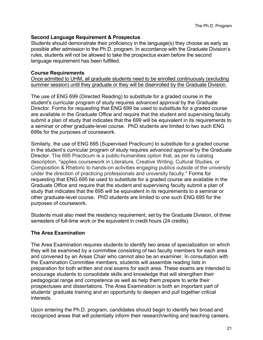#### **Second Language Requirement & Prospectus**

Students should demonstrate their proficiency in the language(s) they choose as early as possible after admission to the Ph.D. program. In accordance with the Graduate Division's rules, students will not be allowed to take the prospectus exam before the second language requirement has been fulfilled.

#### **Course Requirements**

Once admitted to UHM, all graduate students need to be enrolled continuously (excluding summer session) until they graduate or they will be disenrolled by the Graduate Division.

The use of ENG 699 (Directed Reading) to substitute for a graded course in the student's curricular program of study requires *advanced approval* by the Graduate Director. Forms for requesting that ENG 699 be used to substitute for a graded course are available in the Graduate Office and require that the student and supervising faculty submit a plan of study that indicates that the 699 will be equivalent in its requirements to a seminar or other graduate-level course. PhD students are limited to two such ENG 699s for the purposes of coursework.

Similarly, the use of ENG 695 (Supervised Practicum) to substitute for a graded course in the student's curricular program of study requires *advanced approval* by the Graduate Director. The 695 Practicum is a public-humanities option that, as per its catalog description, "applies coursework in Literature, Creative Writing, Cultural Studies, or Composition & Rhetoric to hands-on activities engaging publics outside of the university under the direction of practicing professionals and university faculty." Forms for requesting that ENG 695 be used to substitute for a graded course are available in the Graduate Office and require that the student and supervising faculty submit a plan of study that indicates that the 695 will be equivalent in its requirements to a seminar or other graduate-level course. PhD students are limited to one such ENG 695 for the purposes of coursework.

Students must also meet the residency requirement, set by the Graduate Division, of three semesters of full-time work or the equivalent in credit hours (24 credits).

## **The Area Examination**

The Area Examination requires students to identify two areas of specialization on which they will be examined by a committee consisting of two faculty members for each area and convened by an Areas Chair who cannot also be an examiner. In consultation with the Examination Committee members, students will assemble reading lists in preparation for both written and oral exams for each area. These exams are intended to encourage students to consolidate skills and knowledge that will strengthen their pedagogical range and competence as well as help them prepare to write their prospectuses and dissertations. The Area Examination is both an important part of students' graduate training and an opportunity to deepen and pull together critical interests.

Upon entering the Ph.D. program, candidates should begin to identify two broad and recognized areas that will potentially inform their research/writing and teaching careers.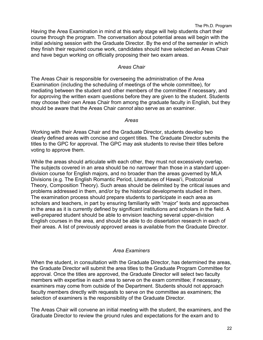The Ph.D. Program

Having the Area Examination in mind at this early stage will help students chart their course through the program. The conversation about potential areas will begin with the initial advising session with the Graduate Director. By the end of the semester in which they finish their required course work, candidates should have selected an Areas Chair and have begun working on officially proposing their two exam areas.

#### *Areas Chair*

The Areas Chair is responsible for overseeing the administration of the Area Examination (including the scheduling of meetings of the whole committee), for mediating between the student and other members of the committee if necessary, and for approving the written exam questions before they are given to the student. Students may choose their own Areas Chair from among the graduate faculty in English, but they should be aware that the Areas Chair *cannot* also serve as an examiner.

#### *Areas*

Working with their Areas Chair and the Graduate Director, students develop two clearly defined areas with concise and cogent titles. The Graduate Director submits the titles to the GPC for approval. The GPC may ask students to revise their titles before voting to approve them.

While the areas should articulate with each other, they must not excessively overlap. The subjects covered in an area should be no narrower than those in a standard upperdivision course for English majors, and no broader than the areas governed by MLA Divisions (e.g. The English Romantic Period, Literatures of Hawai'i, Postcolonial Theory, Composition Theory). Such areas should be delimited by the critical issues and problems addressed in them, and/or by the historical developments studied in them. The examination process should prepare students to participate in each area as scholars and teachers, in part by ensuring familiarity with "major" texts and approaches in the area as it is currently defined by significant institutions and scholars in the field. A well-prepared student should be able to envision teaching several upper-division English courses in the area, and should be able to do dissertation research in each of their areas. A list of previously approved areas is available from the Graduate Director.

## *Area Examiners*

When the student, in consultation with the Graduate Director, has determined the areas, the Graduate Director will submit the area titles to the Graduate Program Committee for approval. Once the titles are approved, the Graduate Director will select two faculty members with expertise in each area to serve on the exam committee; if necessary, examiners may come from outside of the Department. Students should not approach faculty members directly with requests to serve on the committee as examiners; the selection of examiners is the responsibility of the Graduate Director.

The Areas Chair will convene an initial meeting with the student, the examiners, and the Graduate Director to review the ground rules and expectations for the exam and to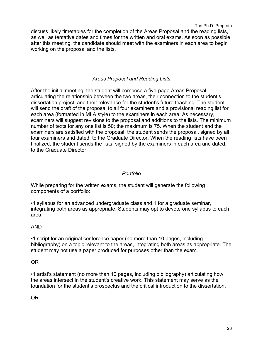discuss likely timetables for the completion of the Areas Proposal and the reading lists, as well as tentative dates and times for the written and oral exams. As soon as possible after this meeting, the candidate should meet with the examiners in each area to begin working on the proposal and the lists.

# *Areas Proposal and Reading Lists*

After the initial meeting, the student will compose a five-page Areas Proposal articulating the relationship between the two areas, their connection to the student's dissertation project, and their relevance for the student's future teaching. The student will send the draft of the proposal to all four examiners and a provisional reading list for each area (formatted in MLA style) to the examiners in each area. As necessary, examiners will suggest revisions to the proposal and additions to the lists. The minimum number of texts for any one list is 50; the maximum is 75. When the student and the examiners are satisfied with the proposal, the student sends the proposal, signed by all four examiners and dated, to the Graduate Director. When the reading lists have been finalized, the student sends the lists, signed by the examiners in each area and dated, to the Graduate Director.

## *Portfolio*

While preparing for the written exams, the student will generate the following components of a portfolio:

•1 syllabus for an advanced undergraduate class and 1 for a graduate seminar, integrating both areas as appropriate. Students may opt to devote one syllabus to each area.

## AND

•1 script for an original conference paper (no more than 10 pages, including bibliography) on a topic relevant to the areas, integrating both areas as appropriate. The student may not use a paper produced for purposes other than the exam.

#### OR

•1 artist's statement (no more than 10 pages, including bibliography) articulating how the areas intersect in the student's creative work. This statement may serve as the foundation for the student's prospectus and the critical introduction to the dissertation.

OR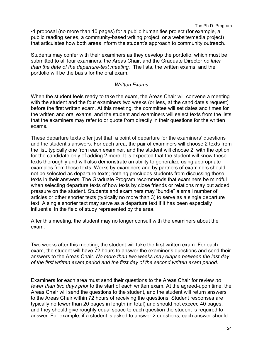•1 proposal (no more than 10 pages) for a public humanities project (for example, a public reading series, a community-based writing project, or a website/media project) that articulates how both areas inform the student's approach to community outreach.

Students may confer with their examiners as they develop the portfolio, which must be submitted to all four examiners, the Areas Chair, and the Graduate Director *no later than the date of the departure-text meeting.* The lists, the written exams, and the portfolio will be the basis for the oral exam.

#### *Written Exams*

When the student feels ready to take the exam, the Areas Chair will convene a meeting with the student and the four examiners two weeks (or less, at the candidate's request) before the first written exam. At this meeting, the committee will set dates and times for the written and oral exams, and the student and examiners will select texts from the lists that the examiners may refer to or quote from directly in their questions for the written exams.

These departure texts offer just that, a point of departure for the examiners' questions and the student's answers. For each area, the pair of examiners will choose 2 texts from the list, typically one from each examiner, and the student will choose 2, with the option for the candidate only of adding 2 more. It is expected that the student will know these texts thoroughly and will also demonstrate an ability to generalize using appropriate examples from these texts. Works by examiners and by partners of examiners should not be selected as departure texts; nothing precludes students from discussing these texts in their answers. The Graduate Program recommends that examiners be mindful when selecting departure texts of how texts by close friends or relations may put added pressure on the student. Students and examiners may "bundle" a small number of articles or other shorter texts (typically no more than 3) to serve as a single departure text. A single shorter text may serve as a departure text if it has been especially influential in the field of study represented by the area.

After this meeting, the student may no longer consult with the examiners about the exam.

Two weeks after this meeting, the student will take the first written exam. For each exam, the student will have 72 hours to answer the examiner's questions and send their answers to the Areas Chair. *No more than two weeks may elapse between the last day of the first written exam period and the first day of the second written exam period.*

Examiners for each area must send their questions to the Areas Chair for review *no fewer than two days prior* to the start of each written exam. At the agreed-upon time, the Areas Chair will send the questions to the student, and the student will return answers to the Areas Chair within 72 hours of receiving the questions. Student responses are typically no fewer than 20 pages in length (in total) and should not exceed 40 pages, and they should give roughly equal space to each question the student is required to answer. For example, if a student is asked to answer 2 questions, each answer should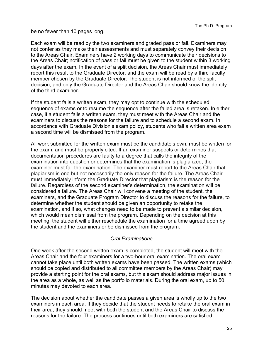be no fewer than 10 pages long.

Each exam will be read by the two examiners and graded pass or fail. Examiners may not confer as they make their assessments and must separately convey their decision to the Areas Chair. Examiners have 2 working days to communicate their decisions to the Areas Chair; notification of pass or fail must be given to the student within 3 working days after the exam. In the event of a split decision, the Areas Chair must immediately report this result to the Graduate Director, and the exam will be read by a third faculty member chosen by the Graduate Director. The student is not informed of the split decision, and only the Graduate Director and the Areas Chair should know the identity of the third examiner.

If the student fails a written exam, they may opt to continue with the scheduled sequence of exams or to resume the sequence after the failed area is retaken. In either case, if a student fails a written exam, they must meet with the Areas Chair and the examiners to discuss the reasons for the failure and to schedule a second exam. In accordance with Graduate Division's exam policy, students who fail a written area exam a second time will be dismissed from the program.

All work submitted for the written exam must be the candidate's own, must be written for the exam, and must be properly cited. If an examiner suspects or determines that documentation procedures are faulty to a degree that calls the integrity of the examination into question or determines that the examination is plagiarized, the examiner must fail the examination. The examiner must report to the Areas Chair that plagiarism is one but not necessarily the only reason for the failure. The Areas Chair must immediately inform the Graduate Director that plagiarism is the reason for the failure. Regardless of the second examiner's determination, the examination will be considered a failure. The Areas Chair will convene a meeting of the student, the examiners, and the Graduate Program Director to discuss the reasons for the failure, to determine whether the student should be given an opportunity to retake the examination, and if so, what changes need to be made to prevent a similar decision, which would mean dismissal from the program. Depending on the decision at this meeting, the student will either reschedule the examination for a time agreed upon by the student and the examiners or be dismissed from the program.

## *Oral Examinations*

One week after the second written exam is completed, the student will meet with the Areas Chair and the four examiners for a two-hour oral examination. The oral exam cannot take place until both written exams have been passed. The written exams (which should be copied and distributed to all committee members by the Areas Chair) may provide a starting point for the oral exams, but this exam should address major issues in the area as a whole, as well as the portfolio materials. During the oral exam, up to 50 minutes may devoted to each area.

The decision about whether the candidate passes a given area is wholly up to the two examiners in each area. If they decide that the student needs to retake the oral exam in their area, they should meet with both the student and the Areas Chair to discuss the reasons for the failure. The process continues until both examiners are satisfied.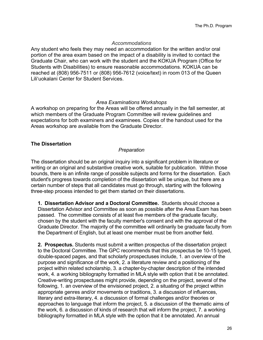#### *Accommodations*

Any student who feels they may need an accommodation for the written and/or oral portion of the area exam based on the impact of a disability is invited to contact the Graduate Chair, who can work with the student and the KOKUA Program (Office for Students with Disabilities) to ensure reasonable accommodations. KOKUA can be reached at (808) 956-7511 or (808) 956-7612 (voice/text) in room 013 of the Queen Liliʻuokalani Center for Student Services.

#### *Area Examinations Workshops*

A workshop on preparing for the Areas will be offered annually in the fall semester, at which members of the Graduate Program Committee will review guidelines and expectations for both examiners and examinees. Copies of the handout used for the Areas workshop are available from the Graduate Director.

#### **The Dissertation**

#### *Preparation*

The dissertation should be an original inquiry into a significant problem in literature or writing or an original and substantive creative work, suitable for publication. Within those bounds, there is an infinite range of possible subjects and forms for the dissertation. Each student's progress towards completion of the dissertation will be unique, but there are a certain number of steps that all candidates must go through, starting with the following three-step process intended to get them started on their dissertations.

**1. Dissertation Advisor and a Doctoral Committee.** Students should choose a Dissertation Advisor and Committee as soon as possible after the Area Exam has been passed. The committee consists of at least five members of the graduate faculty, chosen by the student with the faculty member's consent and with the approval of the Graduate Director. The majority of the committee will ordinarily be graduate faculty from the Department of English, but at least one member must be from another field.

**2. Prospectus.** Students must submit a written prospectus of the dissertation project to the Doctoral Committee. The GPC recommends that this prospectus be 10-15 typed, double-spaced pages, and that scholarly prospectuses include, 1. an overview of the purpose and significance of the work, 2. a literature review and a positioning of the project within related scholarship, 3. a chapter-by-chapter description of the intended work, 4. a working bibliography formatted in MLA style with option that it be annotated. Creative-writing prospectuses might provide, depending on the project, several of the following, 1. an overview of the envisioned project, 2. a situating of the project within appropriate genres and/or movements or traditions, 3. a discussion of influences, literary and extra-literary, 4. a discussion of formal challenges and/or theories or approaches to language that inform the project, 5. a discussion of the thematic aims of the work, 6. a discussion of kinds of research that will inform the project, 7. a working bibliography formatted in MLA style with the option that it be annotated. An annual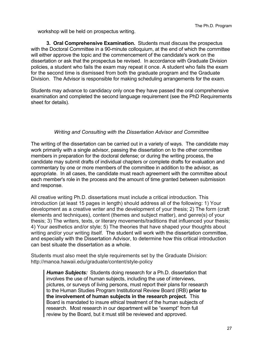workshop will be held on prospectus writing.

**3. Oral Comprehensive Examination.** Students must discuss the prospectus with the Doctoral Committee in a 90-minute colloquium, at the end of which the committee will either approve the topic and the commencement of the candidate's work on the dissertation or ask that the prospectus be revised. In accordance with Graduate Division policies, a student who fails the exam may repeat it once. A student who fails the exam for the second time is dismissed from both the graduate program and the Graduate Division. The Advisor is responsible for making scheduling arrangements for the exam.

Students may advance to candidacy only once they have passed the oral comprehensive examination and completed the second language requirement (see the PhD Requirements sheet for details).

#### *Writing and Consulting with the Dissertation Advisor and Committee*

The writing of the dissertation can be carried out in a variety of ways. The candidate may work primarily with a single advisor, passing the dissertation on to the other committee members in preparation for the doctoral defense; or during the writing process, the candidate may submit drafts of individual chapters or complete drafts for evaluation and commentary by one or more members of the committee in addition to the advisor, as appropriate. In all cases, the candidate must reach agreement with the committee about each member's role in the process and the amount of time granted between submission and response.

All creative writing Ph.D. dissertations must include a critical introduction. This introduction (at least 15 pages in length) should address all of the following: 1) Your development as a creative writer and the development of your thesis; 2) The form (craft elements and techniques), content (themes and subject matter), and genre(s) of your thesis; 3) The writers, texts, or literary movements/traditions that influenced your thesis; 4) Your aesthetics and/or style; 5) The theories that have shaped your thoughts about writing and/or your writing itself. The student will work with the dissertation committee, and especially with the Dissertation Advisor, to determine how this critical introduction can best situate the dissertation as a whole.

Students must also meet the style requirements set by the Graduate Division: http://manoa.hawaii.edu/graduate/content/style-policy

*Human Subjects:* Students doing research for a Ph.D. dissertation that involves the use of human subjects, including the use of interviews, pictures, or surveys of living persons, must report their plans for research to the Human Studies Program Institutional Review Board (IRB) **prior to the involvement of human subjects in the research project.** This Board is mandated to insure ethical treatment of the human subjects of research. Most research in our department will be "exempt" from full review by the Board, but it must still be reviewed and approved.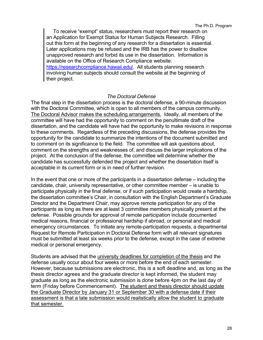To receive "exempt" status, researchers must report their research on an Application for Exempt Status for Human Subjects Research. Filling out this form at the beginning of any research for a dissertation is essential. Later applications may be refused and the IRB has the power to disallow unapproved research and forbid its use in the dissertation. Information is available on the Office of Research Compliance website: https://researchcompliance.hawaii.edu/. All students planning research involving human subjects should consult the website at the beginning of their project.

#### *The Doctoral Defense*

The final step in the dissertation process is the doctoral defense, a 90-minute discussion with the Doctoral Committee, which is open to all members of the campus community. The Doctoral Advisor makes the scheduling arrangements. Ideally, all members of the committee will have had the opportunity to comment on the penultimate draft of the dissertation, and the candidate will have had the opportunity to make revisions in response to these comments. Regardless of the preceding discussions, the defense provides the opportunity for the candidate to summarize the intentions of the document submitted and to comment on its significance to the field. The committee will ask questions about, comment on the strengths and weaknesses of, and discuss the larger implications of the project. At the conclusion of the defense, the committee will determine whether the candidate has successfully defended the project and whether the dissertation itself is acceptable in its current form or is in need of further revision.

In the event that one or more of the participants in a dissertation defense – including the candidate, chair, university representative, or other committee member – is unable to participate physically in the final defense, or if such participation would create a hardship, the dissertation committee's Chair, in consultation with the English Department's Graduate Director and the Department Chair, may approve remote participation for any of the participants as long as there are at least 3 committee members physically present at the defense. Possible grounds for approval of remote participation include documented medical reasons, financial or professional hardship if abroad, or personal and medical emergency circumstances. To initiate any remote-participation requests, a departmental Request for Remote Participation in Doctoral Defense form with all relevant signatures must be submitted at least six weeks prior to the defense, except in the case of extreme medical or personal emergency.

Students are advised that the university deadlines for completion of the thesis and the defense usually occur about four weeks or more before the end of each semester. However, because submissions are electronic, this is a soft deadline and, as long as the thesis director agrees and the graduate director is kept informed, the student may graduate as long as the electronic submission is done before 4pm on the last day of term (Friday before Commencement). The student and thesis director should update the Graduate Director by January 31 or September 30 with a defense date if their assessment is that a late submission would realistically allow the student to graduate that semester.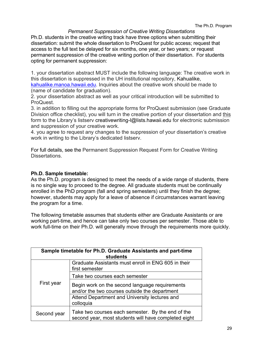#### *Permanent Suppression of Creative Writing Dissertations*

Ph.D. students in the creative writing track have three options when submitting their dissertation: submit the whole dissertation to ProQuest for public access; request that access to the full text be delayed for six months, one year, or two years; or request permanent suppression of the creative writing portion of their dissertation. For students opting for permanent suppression:

1. your dissertation abstract MUST include the following language: The creative work in this dissertation is suppressed in the UH institutional repository, Kahualike, kahualike.manoa.hawaii.edu. Inquiries about the creative work should be made to (name of candidate for graduation).

2. your dissertation abstract as well as your critical introduction will be submitted to ProQuest.

3. in addition to filling out the appropriate forms for ProQuest submission (see Graduate Division office checklist), you will turn in the creative portion of your dissertation and this form to the Library's listserv creativewriting-I@lists.hawaii.edu for electronic submission and suppression of your creative work.

4. you agree to request any changes to the suppression of your dissertation's creative work in writing to the Library's dedicated listserv.

For full details, see the Permanent Suppression Request Form for Creative Writing Dissertations.

#### **Ph.D. Sample timetable:**

As the Ph.D. program is designed to meet the needs of a wide range of students, there is no single way to proceed to the degree. All graduate students must be continually enrolled in the PhD program (fall and spring semesters) until they finish the degree; however, students may apply for a leave of absence if circumstances warrant leaving the program for a time.

The following timetable assumes that students either are Graduate Assistants or are working part-time, and hence can take only two courses per semester. Those able to work full-time on their Ph.D. will generally move through the requirements more quickly.

| Sample timetable for Ph.D. Graduate Assistants and part-time<br><b>students</b> |                                                                                                                                                  |  |
|---------------------------------------------------------------------------------|--------------------------------------------------------------------------------------------------------------------------------------------------|--|
|                                                                                 | Graduate Assistants must enroll in ENG 605 in their<br>first semester                                                                            |  |
|                                                                                 | Take two courses each semester                                                                                                                   |  |
| First year                                                                      | Begin work on the second language requirements<br>and/or the two courses outside the department<br>Attend Department and University lectures and |  |
|                                                                                 | colloquia                                                                                                                                        |  |
| Second year                                                                     | Take two courses each semester. By the end of the<br>second year, most students will have completed eight                                        |  |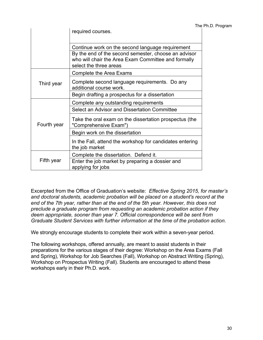|             |                                                                                                                                       | The Ph.D. Program |
|-------------|---------------------------------------------------------------------------------------------------------------------------------------|-------------------|
|             | required courses.                                                                                                                     |                   |
|             |                                                                                                                                       |                   |
|             | Continue work on the second language requirement                                                                                      |                   |
|             | By the end of the second semester, choose an advisor<br>who will chair the Area Exam Committee and formally<br>select the three areas |                   |
| Third year  | Complete the Area Exams                                                                                                               |                   |
|             | Complete second language requirements. Do any<br>additional course work.                                                              |                   |
|             | Begin drafting a prospectus for a dissertation                                                                                        |                   |
| Fourth year | Complete any outstanding requirements                                                                                                 |                   |
|             | Select an Advisor and Dissertation Committee                                                                                          |                   |
|             | Take the oral exam on the dissertation prospectus (the<br>"Comprehensive Exam")                                                       |                   |
|             | Begin work on the dissertation                                                                                                        |                   |
|             | In the Fall, attend the workshop for candidates entering<br>the job market                                                            |                   |
| Fifth year  | Complete the dissertation. Defend it.                                                                                                 |                   |
|             | Enter the job market by preparing a dossier and<br>applying for jobs                                                                  |                   |

Excerpted from the Office of Graduation's website: *Effective Spring 2015, for master's and doctoral students, academic probation will be placed on a student's record at the end of the 7th year, rather than at the end of the 5th year. However, this does not preclude a graduate program from requesting an academic probation action if they deem appropriate, sooner than year 7. Official correspondence will be sent from Graduate Student Services with further information at the time of the probation action.*

We strongly encourage students to complete their work within a seven-year period.

The following workshops, offered annually, are meant to assist students in their preparations for the various stages of their degree: Workshop on the Area Exams (Fall and Spring), Workshop for Job Searches (Fall), Workshop on Abstract Writing (Spring), Workshop on Prospectus Writing (Fall). Students are encouraged to attend these workshops early in their Ph.D. work.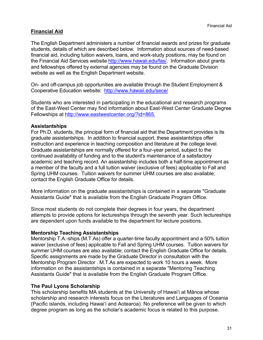# **Financial Aid**

The English Department administers a number of financial awards and prizes for graduate students, details of which are described below. Information about sources of need-based financial aid, including tuition waivers, loans, and work-study positions, may be found on the Financial Aid Services website http://www.hawaii.edu/fas/. Information about grants and fellowships offered by external agencies may be found on the Graduate Division website as well as the English Department website.

On- and off-campus job opportunities are available through the Student Employment & Cooperative Education website: http://www.hawaii.edu/sece/

Students who are interested in participating in the educational and research programs of the East-West Center may find information about East-West Center Graduate Degree Fellowships at http://www.eastwestcenter.org/?id=865.

#### **Assistantships**

For Ph.D. students, the principal form of financial aid that the Department provides is its graduate assistantships. In addition to financial support, these assistantships offer instruction and experience in teaching composition and literature at the college level. Graduate assistantships are normally offered for a four-year period, subject to the continued availability of funding and to the student's maintenance of a satisfactory academic and teaching record. An assistantship includes both a half-time appointment as a member of the faculty and a full tuition waiver (exclusive of fees) applicable to Fall and Spring UHM courses. Tuition waivers for summer UHM courses are also available; contact the English Graduate Office for details.

More information on the graduate assistantships is contained in a separate "Graduate Assistants Guide" that is available from the English Graduate Program Office.

Since most students do not complete their degrees in four years, the department attempts to provide options for lectureships through the seventh year. Such lectureships are dependent upon funds available to the department for lecture positions.

#### **Mentorship Teaching Assistantships**

Mentorship T.A.-ships (M.T.As) offer a quarter-time faculty appointment and a 50% tuition waiver (exclusive of fees) applicable to Fall and Spring UHM courses. Tuition waivers for summer UHM courses are also available; contact the English Graduate Office for details. Specific assignments are made by the Graduate Director in consultation with the Mentorship Program Director . M.T.As are expected to work 10 hours a week. More information on the assistantships is contained in a separate "Mentoring Teaching Assistants Guide" that is available from the English Graduate Program Office.

#### **The Paul Lyons Scholarship**

This scholarship benefits MA students at the University of Hawai'i at Mānoa whose scholarship and research interests focus on the Literatures and Languages of Oceania (Pacific islands, including Hawai'i and Aotearoa). No preference will be given to which degree program as long as the scholar's academic focus is related to this purpose.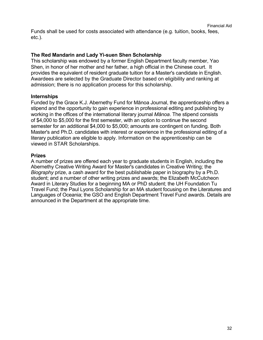Funds shall be used for costs associated with attendance (e.g. tuition, books, fees, etc.).

#### **The Red Mandarin and Lady Yi-suen Shen Scholarship**

This scholarship was endowed by a former English Department faculty member, Yao Shen, in honor of her mother and her father, a high official in the Chinese court. It provides the equivalent of resident graduate tuition for a Master's candidate in English. Awardees are selected by the Graduate Director based on eligibility and ranking at admission; there is no application process for this scholarship.

#### **Internships**

Funded by the Grace K.J. Abernethy Fund for Mānoa Journal, the apprenticeship offers a stipend and the opportunity to gain experience in professional editing and publishing by working in the offices of the international literary journal *Mānoa*. The stipend consists of \$4,000 to \$5,000 for the first semester, with an option to continue the second semester for an additional \$4,000 to \$5,000; amounts are contingent on funding. Both Master's and Ph.D. candidates with interest or experience in the professional editing of a literary publication are eligible to apply. Information on the apprenticeship can be viewed in STAR Scholarships.

#### **Prizes**

A number of prizes are offered each year to graduate students in English, including the Abernethy Creative Writing Award for Master's candidates in Creative Writing; the *Biography* prize, a cash award for the best publishable paper in biography by a Ph.D. student; and a number of other writing prizes and awards; the Elizabeth McCutcheon Award in Literary Studies for a beginning MA or PhD student; the UH Foundation Tu Travel Fund; the Paul Lyons Scholarship for an MA student focusing on the Literatures and Languages of Oceania; the GSO and English Department Travel Fund awards. Details are announced in the Department at the appropriate time.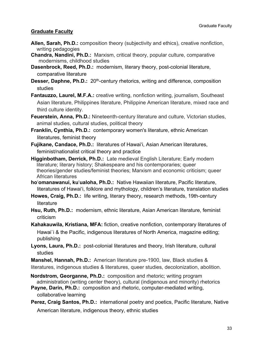# **Graduate Faculty**

- **Allen, Sarah, Ph.D.:** composition theory (subjectivity and ethics), creative nonfiction, writing pedagogies
- **Chandra, Nandini, Ph.D.:** Marxism, critical theory, popular culture, comparative modernisms, childhood studies
- **Dasenbrock, Reed, Ph.D.:** modernism, literary theory, post-colonial literature, comparative literature
- **Desser, Daphne, Ph.D.:** 20<sup>th</sup>-century rhetorics, writing and difference, composition studies
- **Fantauzzo, Laurel, M.F.A.:** creative writing, nonfiction writing, journalism, Southeast Asian literature, Philippines literature, Philippine American literature, mixed race and third culture identity.
- **Feuerstein, Anna, Ph.D.:** Nineteenth-century literature and culture, Victorian studies, animal studies, cultural studies, political theory
- **Franklin, Cynthia, Ph.D.:** contemporary women's literature, ethnic American literatures, feminist theory
- **Fujikane, Candace, Ph.D.:** literatures of Hawai'i, Asian American literatures, feminist/nationalist critical theory and practice
- **Higginbotham, Derrick, Ph.D.:** Late medieval English Literature; Early modern literature; literary history; Shakespeare and his contemporaries; queer theories/gender studies/feminist theories; Marxism and economic criticism; queer African literatures
- **ho**'**omanawanui, ku**'**ualoha, Ph.D.:** Native Hawaiian literature, Pacific literature, literatures of Hawai'i, folklore and mythology, children's literature, translation studies
- **Howes, Craig, Ph.D.:** life writing, literary theory, research methods, 19th-century literature
- **Hsu, Ruth, Ph.D.:** modernism, ethnic literature, Asian American literature, feminist criticism
- **Kahakauwila, Kristiana, MFA:** fiction, creative nonfiction, contemporary literatures of Hawai`i & the Pacific, indigenous literatures of North America, magazine editing; publishing
- **Lyons, Laura, Ph.D.:** post-colonial literatures and theory, Irish literature, cultural studies

**Manshel, Hannah, Ph.D.:** American literature pre-1900, law, Black studies & literatures, indigenous studies & literatures, queer studies, decolonization, abolition.

**Nordstrom, Georganne, Ph.D.:** composition and rhetoric; writing program administration (writing center theory), cultural (indigenous and minority) rhetorics

**Payne, Darin, Ph.D.:** composition and rhetoric, computer-mediated writing, collaborative learning

Perez, Craig Santos, Ph.D.: international poetry and poetics, Pacific literature, Native American literature, indigenous theory, ethnic studies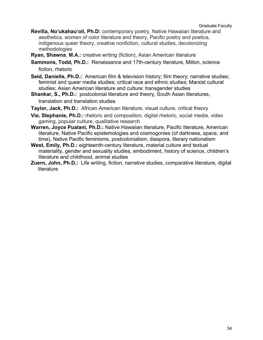- **Revilla, Noʻukahauʻoli, Ph.D:** contemporary poetry, Native Hawaiian literature and aesthetics, women of color literature and theory, Pacific poetry and poetics, indigenous queer theory, creative nonfiction, cultural studies, decolonizing methodologies
- **Ryan, Shawna**, **M.A.:** creative writing (fiction), Asian American literature
- **Sammons, Todd, Ph.D.:** Renaissance and 17th-century literature, Milton, science fiction, rhetoric
- **Seid, Danielle, Ph.D.:** American film & television history; film theory; narrative studies; feminist and queer media studies; critical race and ethnic studies; Marxist cultural studies; Asian American literature and culture; transgender studies
- **Shankar, S., Ph.D.:** postcolonial literature and theory, South Asian literatures, translation and translation studies
- **Taylor, Jack, Ph.D.:** African American literature, visual culture, critical theory
- **Vie, Stephanie, Ph.D.:** rhetoric and composition, digital rhetoric, social media, video gaming, popular culture, qualitative research
- **Warren, Joyce Pualani, Ph.D.:** Native Hawaiian literature, Pacific literature, American literature, Native Pacific epistemologies and cosmogonies (of darkness, space, and time), Native Pacific feminisms, postcolonialism, diaspora, literary nationalism
- **West, Emily, Ph.D.:** eighteenth-century literature, material culture and textual materiality, gender and sexuality studies, embodiment, history of science, children's literature and childhood, animal studies
- **Zuern, John, Ph.D.:** Life writing, fiction, narrative studies, comparative literature, digital literature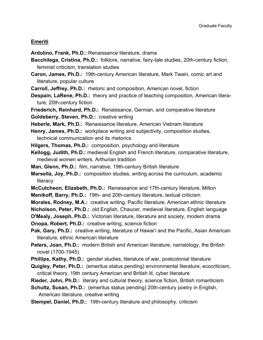#### **Emeriti**

- **Ardolino, Frank, Ph.D.:** Renaissance literature, drama
- **Bacchilega, Cristina, Ph.D.:** folklore, narrative, fairy-tale studies, 20th-century fiction, feminist criticism, translation studies
- **Caron, James, Ph.D.:** 19th-century American literature, Mark Twain, comic art and literature, popular culture
- **Carroll, Jeffrey, Ph.D.:** rhetoric and composition, American novel, fiction
- **Despain, LaRene, Ph.D.:** theory and practice of teaching composition, American literature, 20th-century fiction
- **Friederich, Reinhard, Ph.D.:** Renaissance, German, and comparative literature **Goldsberry, Steven, Ph.D.:** creative writing
- **Heberle, Mark, Ph.D.:** Renaissance literature, American Vietnam literature
- **Henry, James, Ph.D.:** workplace writing and subjectivity, composition studies, technical communication and its rhetorics
- **Hilgers, Thomas, Ph.D.:** composition, psychology and literature
- **Kellogg, Judith, Ph.D.:** medieval English and French literature, comparative literature, medieval women writers, Arthurian tradition
- **Man, Glenn, Ph.D.:** film, narrative, 19th-century British literature
- **Marsella, Joy, Ph.D.:** composition studies, writing across the curriculum, academic literacy
- **McCutcheon, Elizabeth, Ph.D.:** Renaissance and 17th-century literature, Milton
- **Menikoff, Barry, Ph.D.:** 19th- and 20th-century literature, textual criticism
- **Morales, Rodney, M.A.:** creative writing, Pacific literature, American ethnic literature
- **Nicholson, Peter, Ph.D.:** old English, Chaucer, medieval literature, English language
- **O'Mealy, Joseph, Ph.D.:** Victorian literature, literature and society, modern drama
- **Onopa, Robert, Ph.D.:** creative writing, science fiction
- **Pak, Gary, Ph.D.:** creative writing, literature of Hawai'i and the Pacific, Asian American literature, ethnic American literature
- **Peters, Joan, Ph.D.:** modern British and American literature, narratology, the British novel (1700-1945)
- **Phillips, Kathy, Ph.D.:** gender studies, literature of war, postcolonial literature
- **Quigley, Peter, Ph.D.:** (emeritus status pending) environmental literature, ecocriticism, critical theory, 19th century American and British lit, cyber literature
- **Rieder, John, Ph.D.:** literary and cultural theory, science fiction, British romanticism
- **Schultz, Susan, Ph.D.:** (emeritus status pending) 20th-century poetry in English, American literature, creative writing
- **Stempel, Daniel, Ph.D.:** 19th-century literature and philosophy, criticism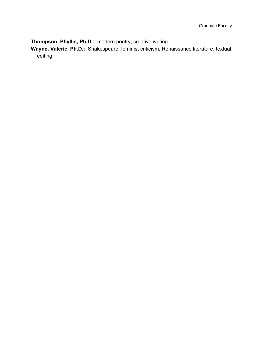**Thompson, Phyllis, Ph.D.:** modern poetry, creative writing

**Wayne, Valerie, Ph.D.:** Shakespeare, feminist criticism, Renaissance literature, textual editing